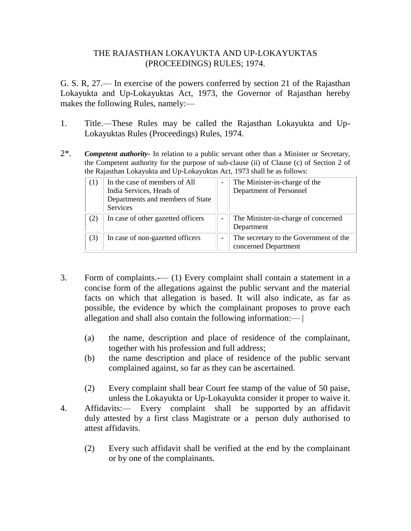## THE RAJASTHAN LOKAYUKTA AND UP-LOKAYUKTAS (PROCEEDINGS) RULES; 1974.

G. S. R, 27.— In exercise of the powers conferred by section 21 of the Rajasthan Lokayukta and Up-Lokayuktas Act, 1973, the Governor of Rajasthan hereby makes the following Rules, namely:—

- 1. Title.—These Rules may be called the Rajasthan Lokayukta and Up-Lokayuktas Rules (Proceedings) Rules, 1974.
- 2\*. *Competent authority-* In relation to a public servant other than a Minister or Secretary, the Competent authority for the purpose of sub-clause (ii) of Clause (c) of Section 2 of the Rajasthan Lokayukta and Up-Lokayuktas Act, 1973 shall be as follows:

| (1) | In the case of members of All<br>India Services, Heads of<br>Departments and members of State<br>Services | The Minister-in-charge of the<br>Department of Personnel       |
|-----|-----------------------------------------------------------------------------------------------------------|----------------------------------------------------------------|
| (2) | In case of other gazetted officers                                                                        | The Minister-in-charge of concerned<br>Department              |
| (3) | In case of non-gazetted officers                                                                          | The secretary to the Government of the<br>concerned Department |

- 3. Form of complaints.-— (1) Every complaint shall contain a statement in a concise form of the allegations against the public servant and the material facts on which that allegation is based. It will also indicate, as far as possible, the evidence by which the complainant proposes to prove each allegation and shall also contain the following information:— |
	- (a) the name, description and place of residence of the complainant, together with his profession and full address;
	- (b) the name description and place of residence of the public servant complained against, so far as they can be ascertained.
	- (2) Every complaint shall bear Court fee stamp of the value of 50 paise, unless the Lokayukta or Up-Lokayukta consider it proper to waive it.
- 4. Affidavits:— Every complaint shall be supported by an affidavit duly attested by a first class Magistrate or a person duly authorised to attest affidavits.
	- (2) Every such affidavit shall be verified at the end by the complainant or by one of the complainants.